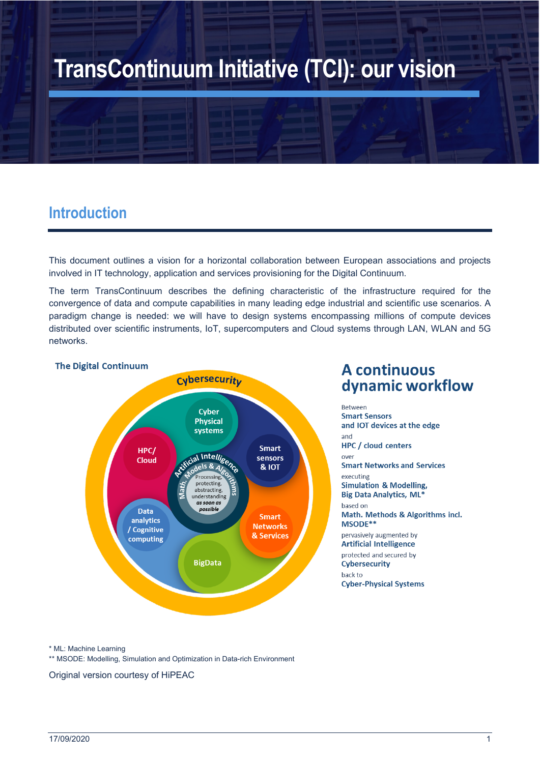# **TransContinuum Initiative (TCI): our vision**

### **Introduction**

This document outlines a vision for a horizontal collaboration between European associations and projects involved in IT technology, application and services provisioning for the Digital Continuum.

The term TransContinuum describes the defining characteristic of the infrastructure required for the convergence of data and compute capabilities in many leading edge industrial and scientific use scenarios. A paradigm change is needed: we will have to design systems encompassing millions of compute devices distributed over scientific instruments, IoT, supercomputers and Cloud systems through LAN, WLAN and 5G networks.

#### **The Digital Continuum**



#### **A** continuous dynamic workflow

**Between Smart Sensors** and IOT devices at the edge and **HPC** / cloud centers over **Smart Networks and Services** executing **Simulation & Modelling, Big Data Analytics, ML\*** based on Math. Methods & Algorithms incl. MSODE\*\* pervasively augmented by **Artificial Intelligence** protected and secured by Cybersecurity back to **Cyber-Physical Systems** 

\* ML: Machine Learning

\*\* MSODE: Modelling, Simulation and Optimization in Data-rich Environment

Original version courtesy of HiPEAC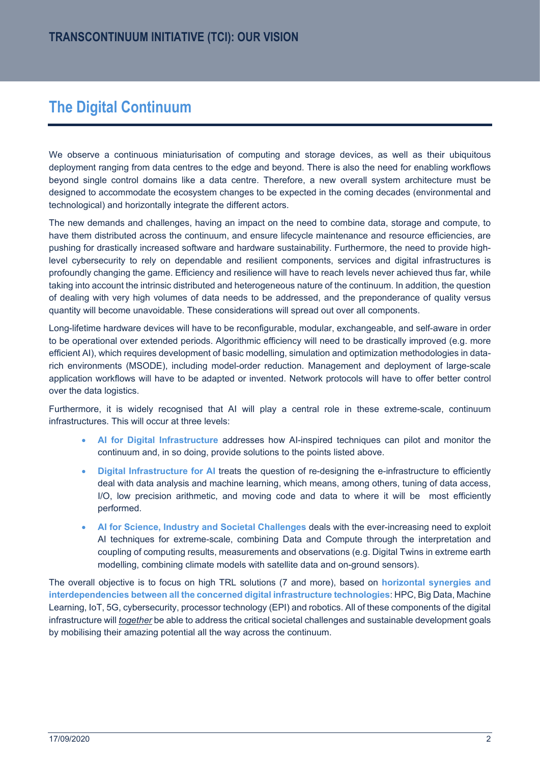# **The Digital Continuum**

We observe a continuous miniaturisation of computing and storage devices, as well as their ubiquitous deployment ranging from data centres to the edge and beyond. There is also the need for enabling workflows beyond single control domains like a data centre. Therefore, a new overall system architecture must be designed to accommodate the ecosystem changes to be expected in the coming decades (environmental and technological) and horizontally integrate the different actors.

The new demands and challenges, having an impact on the need to combine data, storage and compute, to have them distributed across the continuum, and ensure lifecycle maintenance and resource efficiencies, are pushing for drastically increased software and hardware sustainability. Furthermore, the need to provide highlevel cybersecurity to rely on dependable and resilient components, services and digital infrastructures is profoundly changing the game. Efficiency and resilience will have to reach levels never achieved thus far, while taking into account the intrinsic distributed and heterogeneous nature of the continuum. In addition, the question of dealing with very high volumes of data needs to be addressed, and the preponderance of quality versus quantity will become unavoidable. These considerations will spread out over all components.

Long-lifetime hardware devices will have to be reconfigurable, modular, exchangeable, and self-aware in order to be operational over extended periods. Algorithmic efficiency will need to be drastically improved (e.g. more efficient AI), which requires development of basic modelling, simulation and optimization methodologies in datarich environments (MSODE), including model-order reduction. Management and deployment of large-scale application workflows will have to be adapted or invented. Network protocols will have to offer better control over the data logistics.

Furthermore, it is widely recognised that AI will play a central role in these extreme-scale, continuum infrastructures. This will occur at three levels:

- AI for Digital Infrastructure addresses how AI-inspired techniques can pilot and monitor the continuum and, in so doing, provide solutions to the points listed above.
- **Digital Infrastructure for AI** treats the question of re-designing the e-infrastructure to efficiently deal with data analysis and machine learning, which means, among others, tuning of data access, I/O, low precision arithmetic, and moving code and data to where it will be most efficiently performed.
- x **AI for Science, Industry and Societal Challenges** deals with the ever-increasing need to exploit AI techniques for extreme-scale, combining Data and Compute through the interpretation and coupling of computing results, measurements and observations (e.g. Digital Twins in extreme earth modelling, combining climate models with satellite data and on-ground sensors).

The overall objective is to focus on high TRL solutions (7 and more), based on **horizontal synergies and interdependencies between all the concerned digital infrastructure technologies**: HPC, Big Data, Machine Learning, IoT, 5G, cybersecurity, processor technology (EPI) and robotics. All of these components of the digital infrastructure will *together* be able to address the critical societal challenges and sustainable development goals by mobilising their amazing potential all the way across the continuum.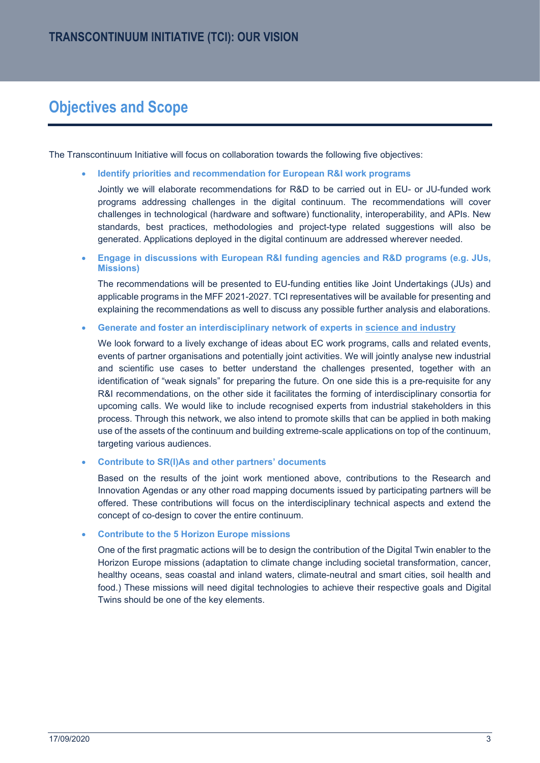# **Objectives and Scope**

The Transcontinuum Initiative will focus on collaboration towards the following five objectives:

x **Identify priorities and recommendation for European R&I work programs**

Jointly we will elaborate recommendations for R&D to be carried out in EU- or JU-funded work programs addressing challenges in the digital continuum. The recommendations will cover challenges in technological (hardware and software) functionality, interoperability, and APIs. New standards, best practices, methodologies and project-type related suggestions will also be generated. Applications deployed in the digital continuum are addressed wherever needed.

x **Engage in discussions with European R&I funding agencies and R&D programs (e.g. JUs, Missions)**

The recommendations will be presented to EU-funding entities like Joint Undertakings (JUs) and applicable programs in the MFF 2021-2027. TCI representatives will be available for presenting and explaining the recommendations as well to discuss any possible further analysis and elaborations.

x **Generate and foster an interdisciplinary network of experts in science and industry**

We look forward to a lively exchange of ideas about EC work programs, calls and related events, events of partner organisations and potentially joint activities. We will jointly analyse new industrial and scientific use cases to better understand the challenges presented, together with an identification of "weak signals" for preparing the future. On one side this is a pre-requisite for any R&I recommendations, on the other side it facilitates the forming of interdisciplinary consortia for upcoming calls. We would like to include recognised experts from industrial stakeholders in this process. Through this network, we also intend to promote skills that can be applied in both making use of the assets of the continuum and building extreme-scale applications on top of the continuum, targeting various audiences.

x **Contribute to SR(I)As and other partners' documents**

Based on the results of the joint work mentioned above, contributions to the Research and Innovation Agendas or any other road mapping documents issued by participating partners will be offered. These contributions will focus on the interdisciplinary technical aspects and extend the concept of co-design to cover the entire continuum.

#### x **Contribute to the 5 Horizon Europe missions**

One of the first pragmatic actions will be to design the contribution of the Digital Twin enabler to the Horizon Europe missions (adaptation to climate change including societal transformation, cancer, healthy oceans, seas coastal and inland waters, climate-neutral and smart cities, soil health and food.) These missions will need digital technologies to achieve their respective goals and Digital Twins should be one of the key elements.